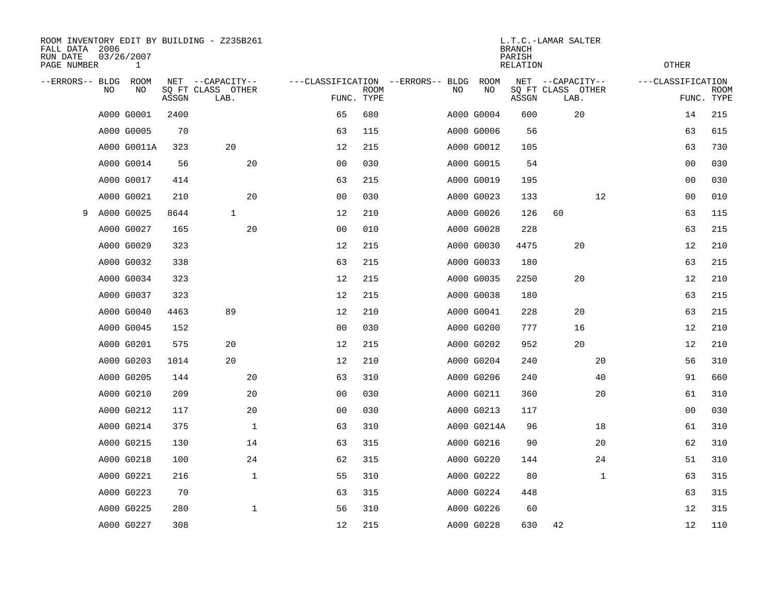| FALL DATA 2006<br>RUN DATE<br>PAGE NUMBER |    | 03/26/2007<br>$\mathbf 1$ |       | ROOM INVENTORY EDIT BY BUILDING - Z235B261 |                                   | L.T.C.-LAMAR SALTER<br><b>BRANCH</b><br>PARISH<br><b>RELATION</b> |  |    |                   |       |                           |              | <b>OTHER</b>      |             |  |
|-------------------------------------------|----|---------------------------|-------|--------------------------------------------|-----------------------------------|-------------------------------------------------------------------|--|----|-------------------|-------|---------------------------|--------------|-------------------|-------------|--|
| --ERRORS-- BLDG                           | NO | <b>ROOM</b><br>NO         |       | NET --CAPACITY--                           | ---CLASSIFICATION --ERRORS-- BLDG |                                                                   |  | NO | <b>ROOM</b><br>NO |       | NET --CAPACITY--          |              | ---CLASSIFICATION | <b>ROOM</b> |  |
|                                           |    |                           | ASSGN | SQ FT CLASS OTHER<br>LAB.                  |                                   | <b>ROOM</b><br>FUNC. TYPE                                         |  |    |                   | ASSGN | SQ FT CLASS OTHER<br>LAB. |              |                   | FUNC. TYPE  |  |
|                                           |    | A000 G0001                | 2400  |                                            | 65                                | 680                                                               |  |    | A000 G0004        | 600   | 20                        |              | 14                | 215         |  |
|                                           |    | A000 G0005                | 70    |                                            | 63                                | 115                                                               |  |    | A000 G0006        | 56    |                           |              | 63                | 615         |  |
|                                           |    | A000 G0011A               | 323   | 20                                         | 12                                | 215                                                               |  |    | A000 G0012        | 105   |                           |              | 63                | 730         |  |
|                                           |    | A000 G0014                | 56    | 20                                         | 0 <sub>0</sub>                    | 030                                                               |  |    | A000 G0015        | 54    |                           |              | 0 <sub>0</sub>    | 030         |  |
|                                           |    | A000 G0017                | 414   |                                            | 63                                | 215                                                               |  |    | A000 G0019        | 195   |                           |              | 0 <sub>0</sub>    | 030         |  |
|                                           |    | A000 G0021                | 210   | 20                                         | 0 <sub>0</sub>                    | 030                                                               |  |    | A000 G0023        | 133   |                           | 12           | 0 <sub>0</sub>    | 010         |  |
| 9                                         |    | A000 G0025                | 8644  | $\mathbf{1}$                               | 12                                | 210                                                               |  |    | A000 G0026        | 126   | 60                        |              | 63                | 115         |  |
|                                           |    | A000 G0027                | 165   | 20                                         | 0 <sub>0</sub>                    | 010                                                               |  |    | A000 G0028        | 228   |                           |              | 63                | 215         |  |
|                                           |    | A000 G0029                | 323   |                                            | 12                                | 215                                                               |  |    | A000 G0030        | 4475  | 20                        |              | 12                | 210         |  |
|                                           |    | A000 G0032                | 338   |                                            | 63                                | 215                                                               |  |    | A000 G0033        | 180   |                           |              | 63                | 215         |  |
|                                           |    | A000 G0034                | 323   |                                            | 12                                | 215                                                               |  |    | A000 G0035        | 2250  | 20                        |              | 12                | 210         |  |
|                                           |    | A000 G0037                | 323   |                                            | 12                                | 215                                                               |  |    | A000 G0038        | 180   |                           |              | 63                | 215         |  |
|                                           |    | A000 G0040                | 4463  | 89                                         | 12                                | 210                                                               |  |    | A000 G0041        | 228   | 20                        |              | 63                | 215         |  |
|                                           |    | A000 G0045                | 152   |                                            | 0 <sub>0</sub>                    | 030                                                               |  |    | A000 G0200        | 777   | 16                        |              | 12                | 210         |  |
|                                           |    | A000 G0201                | 575   | 20                                         | 12                                | 215                                                               |  |    | A000 G0202        | 952   | 20                        |              | 12                | 210         |  |
|                                           |    | A000 G0203                | 1014  | 20                                         | 12                                | 210                                                               |  |    | A000 G0204        | 240   |                           | 20           | 56                | 310         |  |
|                                           |    | A000 G0205                | 144   | 20                                         | 63                                | 310                                                               |  |    | A000 G0206        | 240   |                           | 40           | 91                | 660         |  |
|                                           |    | A000 G0210                | 209   | 20                                         | 00                                | 030                                                               |  |    | A000 G0211        | 360   |                           | 20           | 61                | 310         |  |
|                                           |    | A000 G0212                | 117   | 20                                         | 0 <sub>0</sub>                    | 030                                                               |  |    | A000 G0213        | 117   |                           |              | 00                | 030         |  |
|                                           |    | A000 G0214                | 375   | $\mathbf 1$                                | 63                                | 310                                                               |  |    | A000 G0214A       | 96    |                           | 18           | 61                | 310         |  |
|                                           |    | A000 G0215                | 130   | 14                                         | 63                                | 315                                                               |  |    | A000 G0216        | 90    |                           | 20           | 62                | 310         |  |
|                                           |    | A000 G0218                | 100   | 24                                         | 62                                | 315                                                               |  |    | A000 G0220        | 144   |                           | 24           | 51                | 310         |  |
|                                           |    | A000 G0221                | 216   | $\mathbf 1$                                | 55                                | 310                                                               |  |    | A000 G0222        | 80    |                           | $\mathbf{1}$ | 63                | 315         |  |
|                                           |    | A000 G0223                | 70    |                                            | 63                                | 315                                                               |  |    | A000 G0224        | 448   |                           |              | 63                | 315         |  |
|                                           |    | A000 G0225                | 280   | $\mathbf{1}$                               | 56                                | 310                                                               |  |    | A000 G0226        | 60    |                           |              | 12                | 315         |  |
|                                           |    | A000 G0227                | 308   |                                            | 12                                | 215                                                               |  |    | A000 G0228        | 630   | 42                        |              | 12                | 110         |  |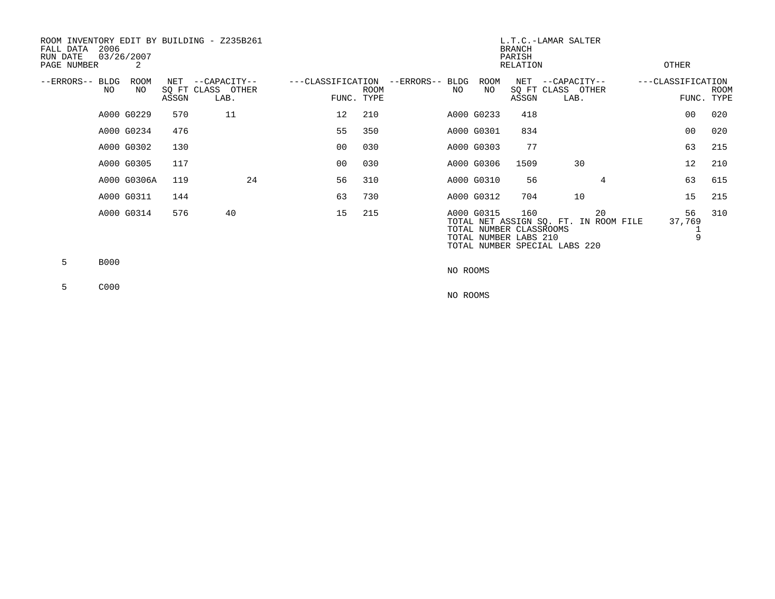| ROOM INVENTORY EDIT BY BUILDING - Z235B261<br>2006<br>FALL DATA<br>RUN DATE<br>PAGE NUMBER | 03/26/2007<br>2 |       |                                               |                   | L.T.C.-LAMAR SALTER<br><b>BRANCH</b><br>PARISH<br>OTHER<br>RELATION |                        |                                                                |              |                                                                              |                   |                    |
|--------------------------------------------------------------------------------------------|-----------------|-------|-----------------------------------------------|-------------------|---------------------------------------------------------------------|------------------------|----------------------------------------------------------------|--------------|------------------------------------------------------------------------------|-------------------|--------------------|
| --ERRORS-- BLDG<br>NO                                                                      | ROOM<br>NO.     | ASSGN | NET --CAPACITY--<br>SQ FT CLASS OTHER<br>LAB. | ---CLASSIFICATION | <b>ROOM</b><br>FUNC. TYPE                                           | --ERRORS-- BLDG<br>NO. | ROOM<br>NO                                                     | NET<br>ASSGN | --CAPACITY--<br>SQ FT CLASS OTHER<br>LAB.                                    | ---CLASSIFICATION | ROOM<br>FUNC. TYPE |
|                                                                                            | A000 G0229      | 570   | 11                                            | 12                | 210                                                                 |                        | A000 G0233                                                     | 418          |                                                                              | 00                | 020                |
|                                                                                            | A000 G0234      | 476   |                                               | 55                | 350                                                                 |                        | A000 G0301                                                     | 834          |                                                                              | 00                | 020                |
|                                                                                            | A000 G0302      | 130   |                                               | 00 <sub>0</sub>   | 030                                                                 |                        | A000 G0303                                                     | 77           |                                                                              | 63                | 215                |
|                                                                                            | A000 G0305      | 117   |                                               | 00                | 030                                                                 |                        | A000 G0306                                                     | 1509         | 30                                                                           | 12                | 210                |
|                                                                                            | A000 G0306A     | 119   | 24                                            | 56                | 310                                                                 |                        | A000 G0310                                                     | 56           | 4                                                                            | 63                | 615                |
|                                                                                            | A000 G0311      | 144   |                                               | 63                | 730                                                                 |                        | A000 G0312                                                     | 704          | 10                                                                           | 15                | 215                |
|                                                                                            | A000 G0314      | 576   | 40                                            | 15                | 215                                                                 |                        | A000 G0315<br>TOTAL NUMBER CLASSROOMS<br>TOTAL NUMBER LABS 210 | 160          | 20<br>TOTAL NET ASSIGN SQ. FT. IN ROOM FILE<br>TOTAL NUMBER SPECIAL LABS 220 | 56<br>37,769      | 310<br>9           |
| 5.<br><b>B000</b>                                                                          |                 |       |                                               |                   |                                                                     |                        |                                                                |              |                                                                              |                   |                    |

5 C000

NO ROOMS

NO ROOMS